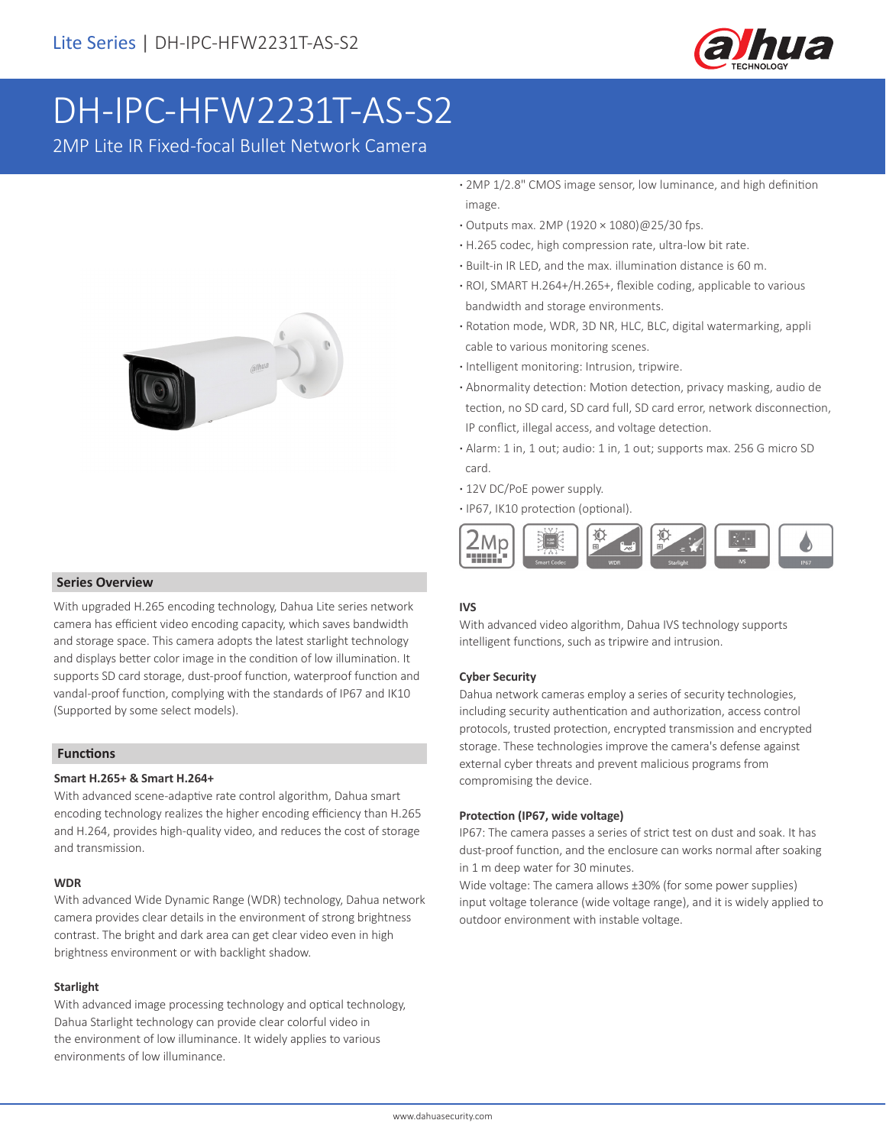

# DH-IPC-HFW2231T-AS-S2

2MP Lite IR Fixed-focal Bullet Network Camera



#### **Series Overview**

With upgraded H.265 encoding technology, Dahua Lite series network camera has efficient video encoding capacity, which saves bandwidth and storage space. This camera adopts the latest starlight technology and displays better color image in the condition of low illumination. It supports SD card storage, dust-proof function, waterproof function and vandal-proof function, complying with the standards of IP67 and IK10 (Supported by some select models).

#### **Functions**

#### **Smart H.265+ & Smart H.264+**

With advanced scene-adaptive rate control algorithm, Dahua smart encoding technology realizes the higher encoding efficiency than H.265 and H.264, provides high-quality video, and reduces the cost of storage and transmission.

#### **WDR**

With advanced Wide Dynamic Range (WDR) technology, Dahua network camera provides clear details in the environment of strong brightness contrast. The bright and dark area can get clear video even in high brightness environment or with backlight shadow.

#### **Starlight**

With advanced image processing technology and optical technology, Dahua Starlight technology can provide clear colorful video in the environment of low illuminance. It widely applies to various environments of low illuminance.

- **·** 2MP 1/2.8" CMOS image sensor, low luminance, and high definition image.
- **·** Outputs max. 2MP (1920 × 1080)@25/30 fps.
- **·** H.265 codec, high compression rate, ultra-low bit rate.
- **·** Built-in IR LED, and the max. illumination distance is 60 m.
- **·** ROI, SMART H.264+/H.265+, flexible coding, applicable to various bandwidth and storage environments.
- **·** Rotation mode, WDR, 3D NR, HLC, BLC, digital watermarking, appli cable to various monitoring scenes.
- **·** Intelligent monitoring: Intrusion, tripwire.
- **·** Abnormality detection: Motion detection, privacy masking, audio de tection, no SD card, SD card full, SD card error, network disconnection, IP conflict, illegal access, and voltage detection.
- **·** Alarm: 1 in, 1 out; audio: 1 in, 1 out; supports max. 256 G micro SD card.
- **·** 12V DC/PoE power supply.
- **·** IP67, IK10 protection (optional).



#### **IVS**

With advanced video algorithm, Dahua IVS technology supports intelligent functions, such as tripwire and intrusion.

#### **Cyber Security**

Dahua network cameras employ a series of security technologies, including security authentication and authorization, access control protocols, trusted protection, encrypted transmission and encrypted storage. These technologies improve the camera's defense against external cyber threats and prevent malicious programs from compromising the device.

#### **Protection (IP67, wide voltage)**

IP67: The camera passes a series of strict test on dust and soak. It has dust-proof function, and the enclosure can works normal after soaking in 1 m deep water for 30 minutes.

Wide voltage: The camera allows ±30% (for some power supplies) input voltage tolerance (wide voltage range), and it is widely applied to outdoor environment with instable voltage.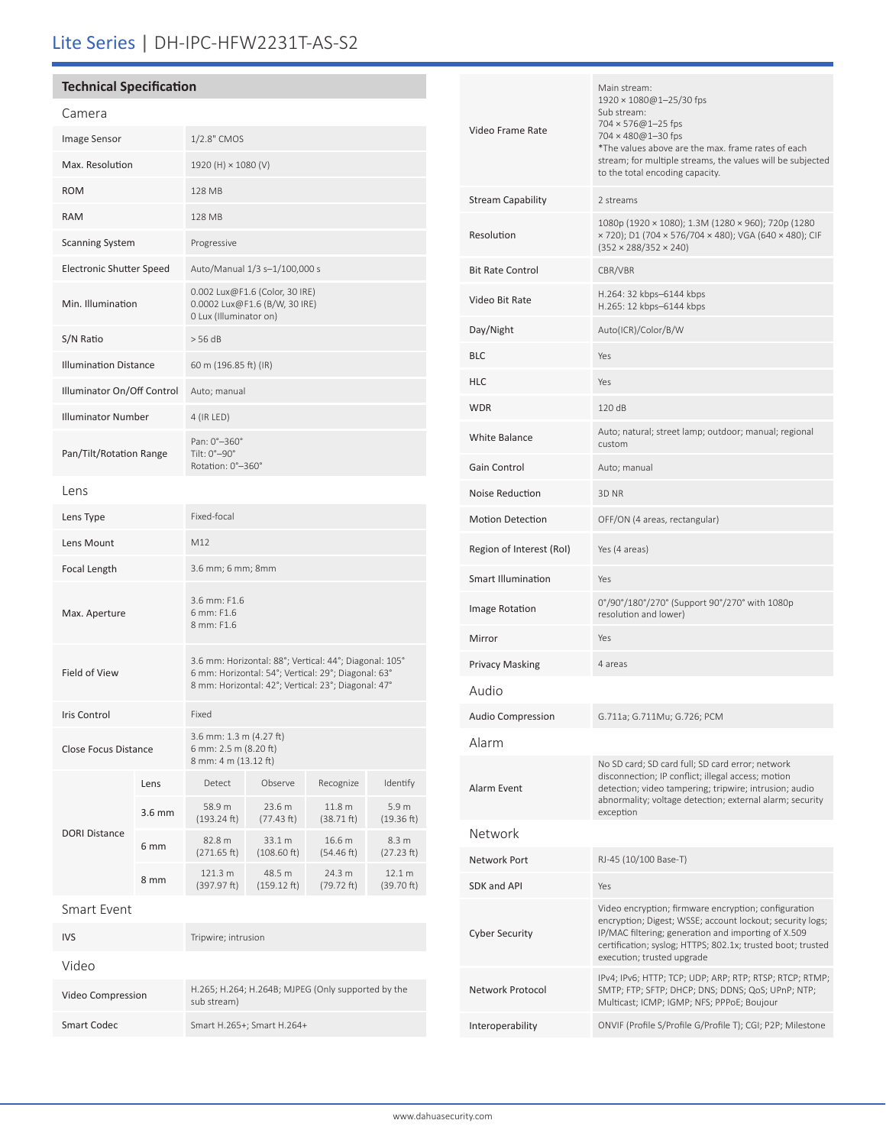# Lite Series | DH-IPC-HFW2231T-AS-S2

## **Technical Specification**

| Camera                          |        |                                                                                                                                                                      |                       |                      |                      |  |
|---------------------------------|--------|----------------------------------------------------------------------------------------------------------------------------------------------------------------------|-----------------------|----------------------|----------------------|--|
| Image Sensor                    |        | 1/2.8" CMOS                                                                                                                                                          |                       |                      |                      |  |
| Max. Resolution                 |        | 1920 (H) $\times$ 1080 (V)                                                                                                                                           |                       |                      |                      |  |
| <b>ROM</b>                      |        | 128 MB                                                                                                                                                               |                       |                      |                      |  |
| <b>RAM</b>                      |        | 128 MB                                                                                                                                                               |                       |                      |                      |  |
| <b>Scanning System</b>          |        | Progressive                                                                                                                                                          |                       |                      |                      |  |
| <b>Electronic Shutter Speed</b> |        | Auto/Manual 1/3 s-1/100,000 s                                                                                                                                        |                       |                      |                      |  |
| Min. Illumination               |        | 0.002 Lux@F1.6 (Color, 30 IRE)<br>0.0002 Lux@F1.6 (B/W, 30 IRE)<br>0 Lux (Illuminator on)                                                                            |                       |                      |                      |  |
| S/N Ratio                       |        | > 56 dB                                                                                                                                                              |                       |                      |                      |  |
| <b>Illumination Distance</b>    |        | 60 m (196.85 ft) (IR)                                                                                                                                                |                       |                      |                      |  |
| Illuminator On/Off Control      |        | Auto; manual                                                                                                                                                         |                       |                      |                      |  |
| <b>Illuminator Number</b>       |        | 4 (IR LED)                                                                                                                                                           |                       |                      |                      |  |
| Pan/Tilt/Rotation Range         |        | Pan: 0°-360°<br>Tilt: 0°-90°<br>Rotation: 0°-360°                                                                                                                    |                       |                      |                      |  |
| Lens                            |        |                                                                                                                                                                      |                       |                      |                      |  |
| Lens Type                       |        | Fixed-focal                                                                                                                                                          |                       |                      |                      |  |
| Lens Mount                      |        | M12                                                                                                                                                                  |                       |                      |                      |  |
| Focal Length                    |        | 3.6 mm; 6 mm; 8mm                                                                                                                                                    |                       |                      |                      |  |
| Max. Aperture                   |        | 3.6 mm: F1.6<br>6 mm: F1.6<br>8 mm: F1.6                                                                                                                             |                       |                      |                      |  |
| Field of View                   |        | 3.6 mm: Horizontal: 88°; Vertical: 44°; Diagonal: 105°<br>6 mm: Horizontal: 54°; Vertical: 29°; Diagonal: 63°<br>8 mm: Horizontal: 42°; Vertical: 23°; Diagonal: 47° |                       |                      |                      |  |
| Iris Control                    |        | Fixed                                                                                                                                                                |                       |                      |                      |  |
| Close Focus Distance            |        | 3.6 mm: 1.3 m (4.27 ft)<br>6 mm: 2.5 m (8.20 ft)<br>8 mm: 4 m (13.12 ft)                                                                                             |                       |                      |                      |  |
|                                 | Lens   | Detect                                                                                                                                                               | Observe               | Recognize            | Identify             |  |
|                                 | 3.6 mm | 58.9 m<br>(193.24 ft)                                                                                                                                                | 23.6 m<br>(77.43 ft)  | 11.8 m<br>(38.71 ft) | 5.9 m<br>(19.36 ft)  |  |
| <b>DORI Distance</b>            | 6 mm   | 82.8 m<br>(271.65 ft)                                                                                                                                                | 33.1 m<br>(108.60 ft) | 16.6 m<br>(54.46 ft) | 8.3 m<br>(27.23 ft)  |  |
|                                 | 8 mm   | 121.3 m<br>(397.97 ft)                                                                                                                                               | 48.5 m<br>(159.12 ft) | 24.3 m<br>(79.72 ft) | 12.1 m<br>(39.70 ft) |  |
| <b>Smart Event</b>              |        |                                                                                                                                                                      |                       |                      |                      |  |
| <b>IVS</b>                      |        | Tripwire; intrusion                                                                                                                                                  |                       |                      |                      |  |
| Video                           |        |                                                                                                                                                                      |                       |                      |                      |  |
| Video Compression               |        | H.265; H.264; H.264B; MJPEG (Only supported by the<br>cub stroam)                                                                                                    |                       |                      |                      |  |

sub stream)

Smart Codec Smart H.265+; Smart H.264+

| Video Frame Rate         | Main stream:<br>$1920 \times 1080@1 - 25/30$ fps<br>Sub stream:<br>704 × 576@1-25 fps<br>704 × 480@1-30 fps<br>*The values above are the max. frame rates of each<br>stream; for multiple streams, the values will be subjected<br>to the total encoding capacity.    |
|--------------------------|-----------------------------------------------------------------------------------------------------------------------------------------------------------------------------------------------------------------------------------------------------------------------|
| <b>Stream Capability</b> | 2 streams                                                                                                                                                                                                                                                             |
| Resolution               | 1080p (1920 × 1080); 1.3M (1280 × 960); 720p (1280<br>× 720); D1 (704 × 576/704 × 480); VGA (640 × 480); CIF<br>$(352 \times 288/352 \times 240)$                                                                                                                     |
| <b>Bit Rate Control</b>  | CBR/VBR                                                                                                                                                                                                                                                               |
| Video Bit Rate           | H.264: 32 kbps-6144 kbps<br>H.265: 12 kbps-6144 kbps                                                                                                                                                                                                                  |
| Day/Night                | Auto(ICR)/Color/B/W                                                                                                                                                                                                                                                   |
| <b>BLC</b>               | Yes                                                                                                                                                                                                                                                                   |
| <b>HLC</b>               | Yes                                                                                                                                                                                                                                                                   |
| <b>WDR</b>               | 120 dB                                                                                                                                                                                                                                                                |
| <b>White Balance</b>     | Auto; natural; street lamp; outdoor; manual; regional<br>custom                                                                                                                                                                                                       |
| Gain Control             | Auto; manual                                                                                                                                                                                                                                                          |
| Noise Reduction          | 3D <sub>NR</sub>                                                                                                                                                                                                                                                      |
| <b>Motion Detection</b>  | OFF/ON (4 areas, rectangular)                                                                                                                                                                                                                                         |
| Region of Interest (RoI) | Yes (4 areas)                                                                                                                                                                                                                                                         |
| Smart Illumination       | Yes                                                                                                                                                                                                                                                                   |
| Image Rotation           | 0°/90°/180°/270° (Support 90°/270° with 1080p<br>resolution and lower)                                                                                                                                                                                                |
| Mirror                   | Yes                                                                                                                                                                                                                                                                   |
| <b>Privacy Masking</b>   | 4 areas                                                                                                                                                                                                                                                               |
| Audio                    |                                                                                                                                                                                                                                                                       |
| Audio Compression        | G.711a; G.711Mu; G.726; PCM                                                                                                                                                                                                                                           |
| Alarm                    |                                                                                                                                                                                                                                                                       |
| Alarm Event              | No SD card; SD card full; SD card error; network<br>disconnection; IP conflict; illegal access; motion<br>detection; video tampering; tripwire; intrusion; audio<br>abnormality; voltage detection; external alarm; security<br>exception                             |
| Network                  |                                                                                                                                                                                                                                                                       |
| Network Port             | RJ-45 (10/100 Base-T)                                                                                                                                                                                                                                                 |
| SDK and API              | Yes                                                                                                                                                                                                                                                                   |
| <b>Cyber Security</b>    | Video encryption; firmware encryption; configuration<br>encryption; Digest; WSSE; account lockout; security logs;<br>IP/MAC filtering; generation and importing of X.509<br>certification; syslog; HTTPS; 802.1x; trusted boot; trusted<br>execution; trusted upgrade |
| Network Protocol         | IPv4; IPv6; HTTP; TCP; UDP; ARP; RTP; RTSP; RTCP; RTMP;<br>SMTP; FTP; SFTP; DHCP; DNS; DDNS; QoS; UPnP; NTP;<br>Multicast; ICMP; IGMP; NFS; PPPoE; Boujour                                                                                                            |
| Interoperability         | ONVIF (Profile S/Profile G/Profile T); CGI; P2P; Milestone                                                                                                                                                                                                            |